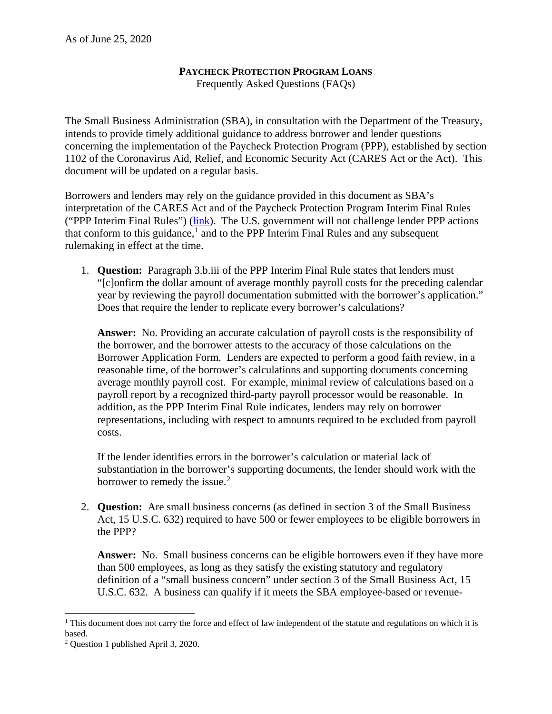## **PAYCHECK PROTECTION PROGRAM LOANS**

Frequently Asked Questions (FAQs)

The Small Business Administration (SBA), in consultation with the Department of the Treasury, intends to provide timely additional guidance to address borrower and lender questions concerning the implementation of the Paycheck Protection Program (PPP), established by section 1102 of the Coronavirus Aid, Relief, and Economic Security Act (CARES Act or the Act). This document will be updated on a regular basis.

Borrowers and lenders may rely on the guidance provided in this document as SBA's interpretation of the CARES Act and of the Paycheck Protection Program Interim Final Rules ("PPP Interim Final Rules") [\(link\)](https://home.treasury.gov/policy-issues/cares/assistance-for-small-businesses). The U.S. government will not challenge lender PPP actions that conform to this guidance, $<sup>1</sup>$  and to the PPP Interim Final Rules and any subsequent</sup> rulemaking in effect at the time.

1. **Question:** Paragraph 3.b.iii of the PPP Interim Final Rule states that lenders must "[c]onfirm the dollar amount of average monthly payroll costs for the preceding calendar year by reviewing the payroll documentation submitted with the borrower's application." Does that require the lender to replicate every borrower's calculations?

**Answer:** No. Providing an accurate calculation of payroll costs is the responsibility of the borrower, and the borrower attests to the accuracy of those calculations on the Borrower Application Form. Lenders are expected to perform a good faith review, in a reasonable time, of the borrower's calculations and supporting documents concerning average monthly payroll cost. For example, minimal review of calculations based on a payroll report by a recognized third-party payroll processor would be reasonable. In addition, as the PPP Interim Final Rule indicates, lenders may rely on borrower representations, including with respect to amounts required to be excluded from payroll costs.

If the lender identifies errors in the borrower's calculation or material lack of substantiation in the borrower's supporting documents, the lender should work with the borrower to remedy the issue. $2$ 

2. **Question:** Are small business concerns (as defined in section 3 of the Small Business Act, 15 U.S.C. 632) required to have 500 or fewer employees to be eligible borrowers in the PPP?

**Answer:** No. Small business concerns can be eligible borrowers even if they have more than 500 employees, as long as they satisfy the existing statutory and regulatory definition of a "small business concern" under section 3 of the Small Business Act, 15 U.S.C. 632. A business can qualify if it meets the SBA employee-based or revenue-

 $1$ . This document does not carry the force and effect of law independent of the statute and regulations on which it is based.

<sup>2</sup> Question 1 published April 3, 2020.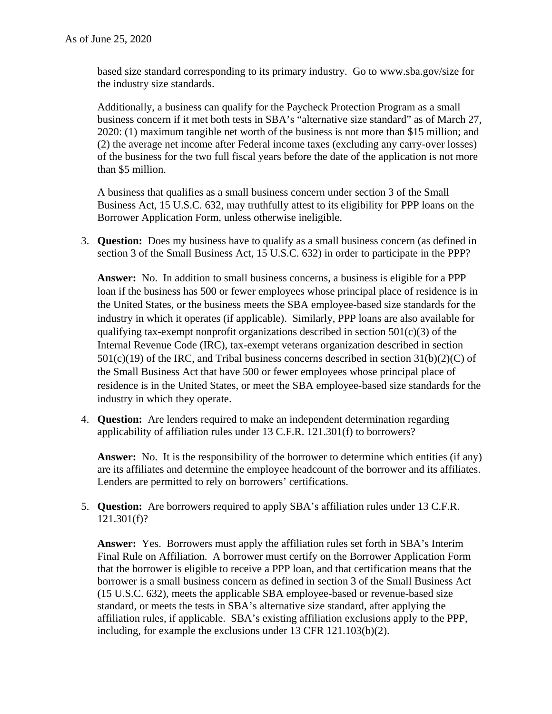based size standard corresponding to its primary industry. Go to www.sba.gov/size for the industry size standards.

Additionally, a business can qualify for the Paycheck Protection Program as a small business concern if it met both tests in SBA's "alternative size standard" as of March 27, 2020: (1) maximum tangible net worth of the business is not more than \$15 million; and (2) the average net income after Federal income taxes (excluding any carry-over losses) of the business for the two full fiscal years before the date of the application is not more than \$5 million.

A business that qualifies as a small business concern under section 3 of the Small Business Act, 15 U.S.C. 632, may truthfully attest to its eligibility for PPP loans on the Borrower Application Form, unless otherwise ineligible.

3. **Question:** Does my business have to qualify as a small business concern (as defined in section 3 of the Small Business Act, 15 U.S.C. 632) in order to participate in the PPP?

**Answer:** No. In addition to small business concerns, a business is eligible for a PPP loan if the business has 500 or fewer employees whose principal place of residence is in the United States, or the business meets the SBA employee-based size standards for the industry in which it operates (if applicable). Similarly, PPP loans are also available for qualifying tax-exempt nonprofit organizations described in section  $501(c)(3)$  of the Internal Revenue Code (IRC), tax-exempt veterans organization described in section  $501(c)(19)$  of the IRC, and Tribal business concerns described in section  $31(b)(2)(C)$  of the Small Business Act that have 500 or fewer employees whose principal place of residence is in the United States, or meet the SBA employee-based size standards for the industry in which they operate.

4. **Question:** Are lenders required to make an independent determination regarding applicability of affiliation rules under 13 C.F.R. 121.301(f) to borrowers?

**Answer:** No. It is the responsibility of the borrower to determine which entities (if any) are its affiliates and determine the employee headcount of the borrower and its affiliates. Lenders are permitted to rely on borrowers' certifications.

5. **Question:** Are borrowers required to apply SBA's affiliation rules under 13 C.F.R. 121.301(f)?

**Answer:** Yes. Borrowers must apply the affiliation rules set forth in SBA's Interim Final Rule on Affiliation. A borrower must certify on the Borrower Application Form that the borrower is eligible to receive a PPP loan, and that certification means that the borrower is a small business concern as defined in section 3 of the Small Business Act (15 U.S.C. 632), meets the applicable SBA employee-based or revenue-based size standard, or meets the tests in SBA's alternative size standard, after applying the affiliation rules, if applicable. SBA's existing affiliation exclusions apply to the PPP, including, for example the exclusions under 13 CFR 121.103(b)(2).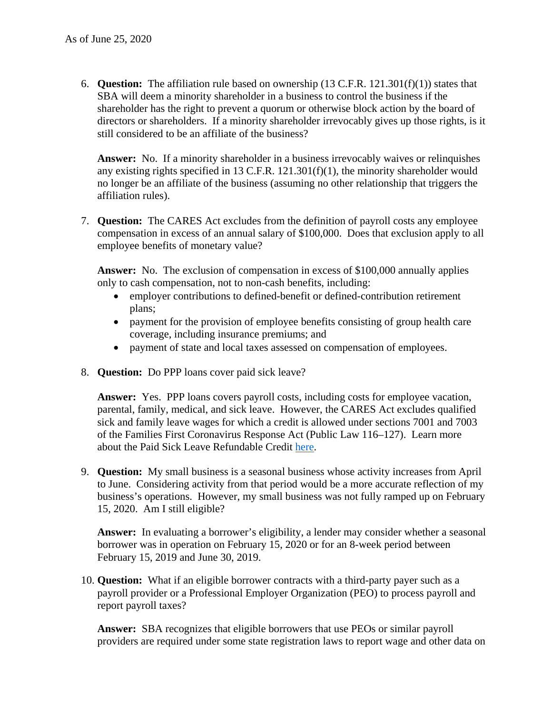6. **Question:** The affiliation rule based on ownership (13 C.F.R. 121.301(f)(1)) states that SBA will deem a minority shareholder in a business to control the business if the shareholder has the right to prevent a quorum or otherwise block action by the board of directors or shareholders. If a minority shareholder irrevocably gives up those rights, is it still considered to be an affiliate of the business?

**Answer:** No. If a minority shareholder in a business irrevocably waives or relinquishes any existing rights specified in 13 C.F.R. 121.301(f)(1), the minority shareholder would no longer be an affiliate of the business (assuming no other relationship that triggers the affiliation rules).

7. **Question:** The CARES Act excludes from the definition of payroll costs any employee compensation in excess of an annual salary of \$100,000. Does that exclusion apply to all employee benefits of monetary value?

**Answer:** No. The exclusion of compensation in excess of \$100,000 annually applies only to cash compensation, not to non-cash benefits, including:

- employer contributions to defined-benefit or defined-contribution retirement plans;
- payment for the provision of employee benefits consisting of group health care coverage, including insurance premiums; and
- payment of state and local taxes assessed on compensation of employees.
- 8. **Question:** Do PPP loans cover paid sick leave?

**Answer:** Yes. PPP loans covers payroll costs, including costs for employee vacation, parental, family, medical, and sick leave. However, the CARES Act excludes qualified sick and family leave wages for which a credit is allowed under sections 7001 and 7003 of the Families First Coronavirus Response Act (Public Law 116–127). Learn more about the Paid Sick Leave Refundable Credit [here.](https://www.irs.gov/newsroom/covid-19-related-tax-credits-for-required-paid-leave-provided-by-small-and-midsize-businesses-faqs)

9. **Question:** My small business is a seasonal business whose activity increases from April to June. Considering activity from that period would be a more accurate reflection of my business's operations. However, my small business was not fully ramped up on February 15, 2020. Am I still eligible?

**Answer:** In evaluating a borrower's eligibility, a lender may consider whether a seasonal borrower was in operation on February 15, 2020 or for an 8-week period between February 15, 2019 and June 30, 2019.

10. **Question:** What if an eligible borrower contracts with a third-party payer such as a payroll provider or a Professional Employer Organization (PEO) to process payroll and report payroll taxes?

**Answer:** SBA recognizes that eligible borrowers that use PEOs or similar payroll providers are required under some state registration laws to report wage and other data on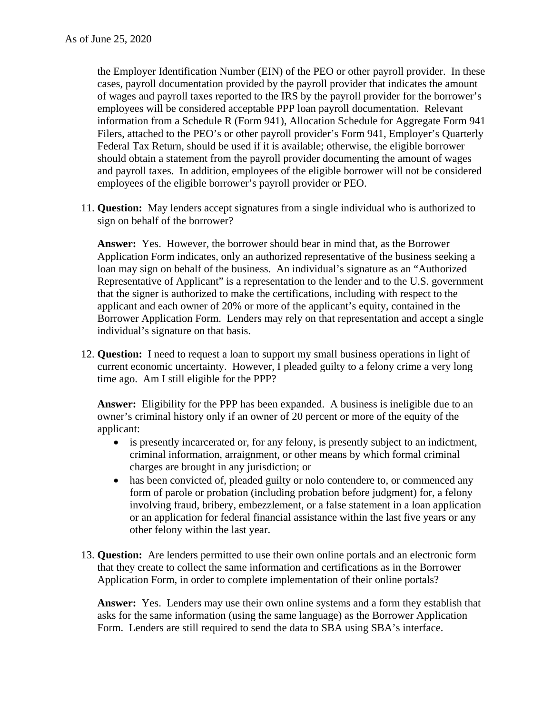the Employer Identification Number (EIN) of the PEO or other payroll provider. In these cases, payroll documentation provided by the payroll provider that indicates the amount of wages and payroll taxes reported to the IRS by the payroll provider for the borrower's employees will be considered acceptable PPP loan payroll documentation. Relevant information from a Schedule R (Form 941), Allocation Schedule for Aggregate Form 941 Filers, attached to the PEO's or other payroll provider's Form 941, Employer's Quarterly Federal Tax Return, should be used if it is available; otherwise, the eligible borrower should obtain a statement from the payroll provider documenting the amount of wages and payroll taxes. In addition, employees of the eligible borrower will not be considered employees of the eligible borrower's payroll provider or PEO.

11. **Question:** May lenders accept signatures from a single individual who is authorized to sign on behalf of the borrower?

**Answer:** Yes. However, the borrower should bear in mind that, as the Borrower Application Form indicates, only an authorized representative of the business seeking a loan may sign on behalf of the business. An individual's signature as an "Authorized Representative of Applicant" is a representation to the lender and to the U.S. government that the signer is authorized to make the certifications, including with respect to the applicant and each owner of 20% or more of the applicant's equity, contained in the Borrower Application Form. Lenders may rely on that representation and accept a single individual's signature on that basis.

12. **Question:** I need to request a loan to support my small business operations in light of current economic uncertainty. However, I pleaded guilty to a felony crime a very long time ago. Am I still eligible for the PPP?

**Answer:** Eligibility for the PPP has been expanded. A business is ineligible due to an owner's criminal history only if an owner of 20 percent or more of the equity of the applicant:

- is presently incarcerated or, for any felony, is presently subject to an indictment, criminal information, arraignment, or other means by which formal criminal charges are brought in any jurisdiction; or
- has been convicted of, pleaded guilty or nolo contendere to, or commenced any form of parole or probation (including probation before judgment) for, a felony involving fraud, bribery, embezzlement, or a false statement in a loan application or an application for federal financial assistance within the last five years or any other felony within the last year.
- 13. **Question:** Are lenders permitted to use their own online portals and an electronic form that they create to collect the same information and certifications as in the Borrower Application Form, in order to complete implementation of their online portals?

**Answer:** Yes. Lenders may use their own online systems and a form they establish that asks for the same information (using the same language) as the Borrower Application Form. Lenders are still required to send the data to SBA using SBA's interface.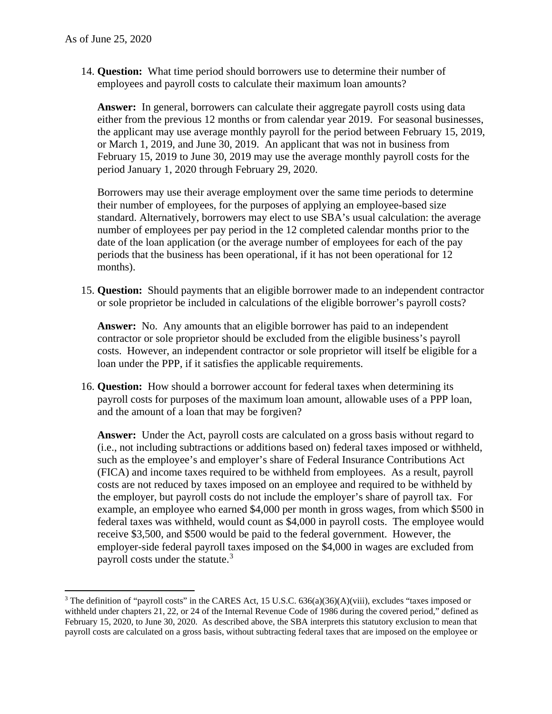$\overline{\phantom{a}}$ 

14. **Question:** What time period should borrowers use to determine their number of employees and payroll costs to calculate their maximum loan amounts?

**Answer:** In general, borrowers can calculate their aggregate payroll costs using data either from the previous 12 months or from calendar year 2019. For seasonal businesses, the applicant may use average monthly payroll for the period between February 15, 2019, or March 1, 2019, and June 30, 2019. An applicant that was not in business from February 15, 2019 to June 30, 2019 may use the average monthly payroll costs for the period January 1, 2020 through February 29, 2020.

Borrowers may use their average employment over the same time periods to determine their number of employees, for the purposes of applying an employee-based size standard. Alternatively, borrowers may elect to use SBA's usual calculation: the average number of employees per pay period in the 12 completed calendar months prior to the date of the loan application (or the average number of employees for each of the pay periods that the business has been operational, if it has not been operational for 12 months).

15. **Question:** Should payments that an eligible borrower made to an independent contractor or sole proprietor be included in calculations of the eligible borrower's payroll costs?

**Answer:** No. Any amounts that an eligible borrower has paid to an independent contractor or sole proprietor should be excluded from the eligible business's payroll costs. However, an independent contractor or sole proprietor will itself be eligible for a loan under the PPP, if it satisfies the applicable requirements.

16. **Question:** How should a borrower account for federal taxes when determining its payroll costs for purposes of the maximum loan amount, allowable uses of a PPP loan, and the amount of a loan that may be forgiven?

**Answer:** Under the Act, payroll costs are calculated on a gross basis without regard to (i.e., not including subtractions or additions based on) federal taxes imposed or withheld, such as the employee's and employer's share of Federal Insurance Contributions Act (FICA) and income taxes required to be withheld from employees. As a result, payroll costs are not reduced by taxes imposed on an employee and required to be withheld by the employer, but payroll costs do not include the employer's share of payroll tax. For example, an employee who earned \$4,000 per month in gross wages, from which \$500 in federal taxes was withheld, would count as \$4,000 in payroll costs. The employee would receive \$3,500, and \$500 would be paid to the federal government. However, the employer-side federal payroll taxes imposed on the \$4,000 in wages are excluded from payroll costs under the statute.<sup>3</sup>

<sup>&</sup>lt;sup>3</sup> The definition of "payroll costs" in the CARES Act, 15 U.S.C. 636(a)(36)(A)(viii), excludes "taxes imposed or withheld under chapters 21, 22, or 24 of the Internal Revenue Code of 1986 during the covered period," defined as February 15, 2020, to June 30, 2020. As described above, the SBA interprets this statutory exclusion to mean that payroll costs are calculated on a gross basis, without subtracting federal taxes that are imposed on the employee or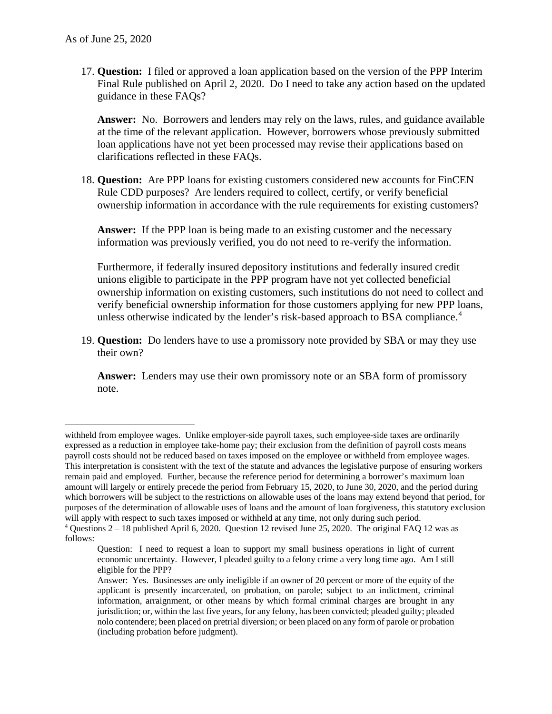$\overline{a}$ 

17. **Question:** I filed or approved a loan application based on the version of the PPP Interim Final Rule published on April 2, 2020. Do I need to take any action based on the updated guidance in these FAQs?

**Answer:** No. Borrowers and lenders may rely on the laws, rules, and guidance available at the time of the relevant application. However, borrowers whose previously submitted loan applications have not yet been processed may revise their applications based on clarifications reflected in these FAQs.

18. **Question:** Are PPP loans for existing customers considered new accounts for FinCEN Rule CDD purposes? Are lenders required to collect, certify, or verify beneficial ownership information in accordance with the rule requirements for existing customers?

**Answer:** If the PPP loan is being made to an existing customer and the necessary information was previously verified, you do not need to re-verify the information.

Furthermore, if federally insured depository institutions and federally insured credit unions eligible to participate in the PPP program have not yet collected beneficial ownership information on existing customers, such institutions do not need to collect and verify beneficial ownership information for those customers applying for new PPP loans, unless otherwise indicated by the lender's risk-based approach to BSA compliance.<sup>4</sup>

19. **Question:** Do lenders have to use a promissory note provided by SBA or may they use their own?

**Answer:** Lenders may use their own promissory note or an SBA form of promissory note.

withheld from employee wages. Unlike employer-side payroll taxes, such employee-side taxes are ordinarily expressed as a reduction in employee take-home pay; their exclusion from the definition of payroll costs means payroll costs should not be reduced based on taxes imposed on the employee or withheld from employee wages. This interpretation is consistent with the text of the statute and advances the legislative purpose of ensuring workers remain paid and employed. Further, because the reference period for determining a borrower's maximum loan amount will largely or entirely precede the period from February 15, 2020, to June 30, 2020, and the period during which borrowers will be subject to the restrictions on allowable uses of the loans may extend beyond that period, for purposes of the determination of allowable uses of loans and the amount of loan forgiveness, this statutory exclusion will apply with respect to such taxes imposed or withheld at any time, not only during such period.

<sup>4</sup> Questions 2 – 18 published April 6, 2020. Question 12 revised June 25, 2020. The original FAQ 12 was as follows:

Question: I need to request a loan to support my small business operations in light of current economic uncertainty. However, I pleaded guilty to a felony crime a very long time ago. Am I still eligible for the PPP?

Answer: Yes. Businesses are only ineligible if an owner of 20 percent or more of the equity of the applicant is presently incarcerated, on probation, on parole; subject to an indictment, criminal information, arraignment, or other means by which formal criminal charges are brought in any jurisdiction; or, within the last five years, for any felony, has been convicted; pleaded guilty; pleaded nolo contendere; been placed on pretrial diversion; or been placed on any form of parole or probation (including probation before judgment).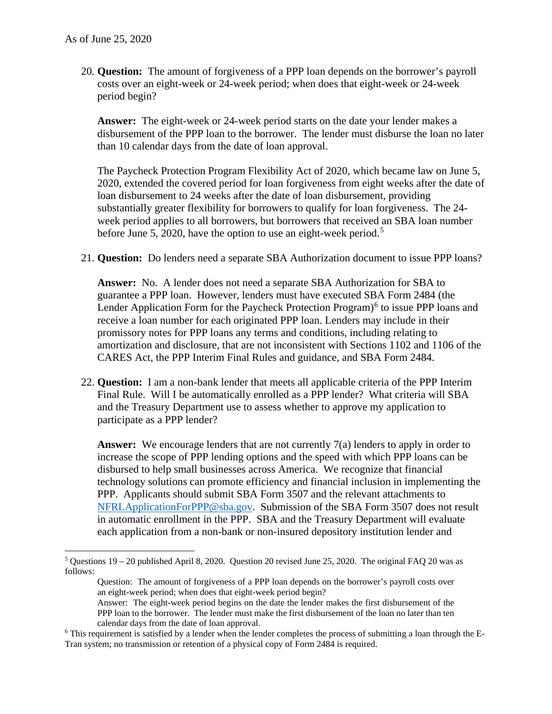$\overline{a}$ 

20. **Question:** The amount of forgiveness of a PPP loan depends on the borrower's payroll costs over an eight-week or 24-week period; when does that eight-week or 24-week period begin?

**Answer:** The eight-week or 24-week period starts on the date your lender makes a disbursement of the PPP loan to the borrower. The lender must disburse the loan no later than 10 calendar days from the date of loan approval.

The Paycheck Protection Program Flexibility Act of 2020, which became law on June 5, 2020, extended the covered period for loan forgiveness from eight weeks after the date of loan disbursement to 24 weeks after the date of loan disbursement, providing substantially greater flexibility for borrowers to qualify for loan forgiveness. The 24 week period applies to all borrowers, but borrowers that received an SBA loan number before June 5, 2020, have the option to use an eight-week period.<sup>5</sup>

21. **Question:** Do lenders need a separate SBA Authorization document to issue PPP loans?

**Answer:** No. A lender does not need a separate SBA Authorization for SBA to guarantee a PPP loan. However, lenders must have executed SBA Form 2484 (the Lender Application Form for the Paycheck Protection Program)<sup>6</sup> to issue PPP loans and receive a loan number for each originated PPP loan. Lenders may include in their promissory notes for PPP loans any terms and conditions, including relating to amortization and disclosure, that are not inconsistent with Sections 1102 and 1106 of the CARES Act, the PPP Interim Final Rules and guidance, and SBA Form 2484.

22. **Question:** I am a non-bank lender that meets all applicable criteria of the PPP Interim Final Rule. Will I be automatically enrolled as a PPP lender? What criteria will SBA and the Treasury Department use to assess whether to approve my application to participate as a PPP lender?

**Answer:** We encourage lenders that are not currently 7(a) lenders to apply in order to increase the scope of PPP lending options and the speed with which PPP loans can be disbursed to help small businesses across America. We recognize that financial technology solutions can promote efficiency and financial inclusion in implementing the PPP. Applicants should submit SBA Form 3507 and the relevant attachments to [NFRLApplicationForPPP@sba.gov.](mailto:NFRLApplicationForPPP@sba.gov) Submission of the SBA Form 3507 does not result in automatic enrollment in the PPP. SBA and the Treasury Department will evaluate each application from a non-bank or non-insured depository institution lender and

 $5$  Questions 19 – 20 published April 8, 2020. Question 20 revised June 25, 2020. The original FAQ 20 was as follows:

Question: The amount of forgiveness of a PPP loan depends on the borrower's payroll costs over an eight-week period; when does that eight-week period begin?

Answer: The eight-week period begins on the date the lender makes the first disbursement of the PPP loan to the borrower. The lender must make the first disbursement of the loan no later than ten calendar days from the date of loan approval.

<sup>6</sup> This requirement is satisfied by a lender when the lender completes the process of submitting a loan through the E-Tran system; no transmission or retention of a physical copy of Form 2484 is required.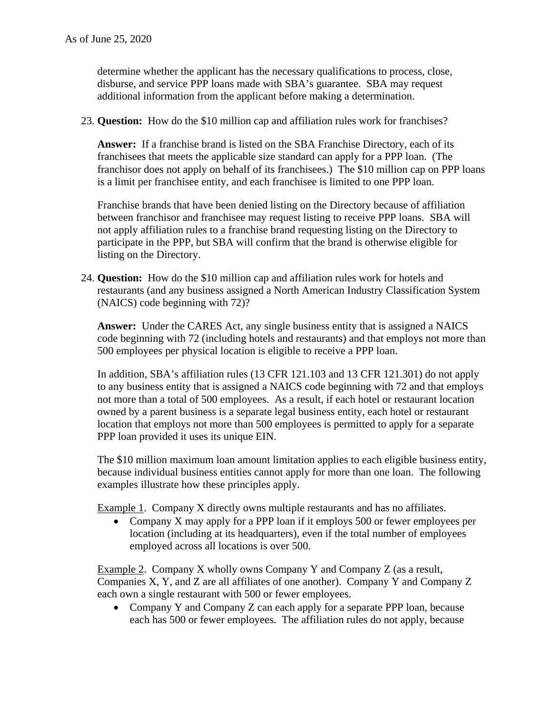determine whether the applicant has the necessary qualifications to process, close, disburse, and service PPP loans made with SBA's guarantee. SBA may request additional information from the applicant before making a determination.

23. **Question:** How do the \$10 million cap and affiliation rules work for franchises?

**Answer:** If a franchise brand is listed on the SBA Franchise Directory, each of its franchisees that meets the applicable size standard can apply for a PPP loan. (The franchisor does not apply on behalf of its franchisees.) The \$10 million cap on PPP loans is a limit per franchisee entity, and each franchisee is limited to one PPP loan.

Franchise brands that have been denied listing on the Directory because of affiliation between franchisor and franchisee may request listing to receive PPP loans. SBA will not apply affiliation rules to a franchise brand requesting listing on the Directory to participate in the PPP, but SBA will confirm that the brand is otherwise eligible for listing on the Directory.

24. **Question:** How do the \$10 million cap and affiliation rules work for hotels and restaurants (and any business assigned a North American Industry Classification System (NAICS) code beginning with 72)?

**Answer:** Under the CARES Act, any single business entity that is assigned a NAICS code beginning with 72 (including hotels and restaurants) and that employs not more than 500 employees per physical location is eligible to receive a PPP loan.

In addition, SBA's affiliation rules (13 CFR 121.103 and 13 CFR 121.301) do not apply to any business entity that is assigned a NAICS code beginning with 72 and that employs not more than a total of 500 employees. As a result, if each hotel or restaurant location owned by a parent business is a separate legal business entity, each hotel or restaurant location that employs not more than 500 employees is permitted to apply for a separate PPP loan provided it uses its unique EIN.

The \$10 million maximum loan amount limitation applies to each eligible business entity, because individual business entities cannot apply for more than one loan. The following examples illustrate how these principles apply.

Example 1. Company X directly owns multiple restaurants and has no affiliates.

• Company X may apply for a PPP loan if it employs 500 or fewer employees per location (including at its headquarters), even if the total number of employees employed across all locations is over 500.

Example 2. Company X wholly owns Company Y and Company Z (as a result, Companies X, Y, and Z are all affiliates of one another). Company Y and Company Z each own a single restaurant with 500 or fewer employees.

• Company Y and Company Z can each apply for a separate PPP loan, because each has 500 or fewer employees. The affiliation rules do not apply, because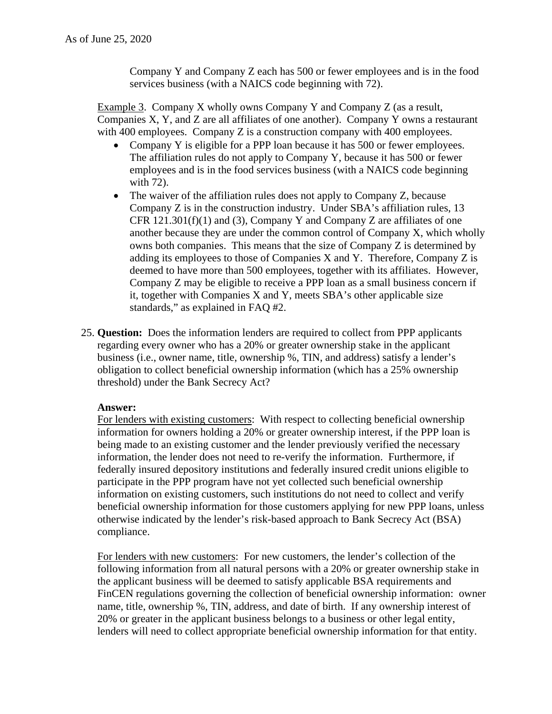Company Y and Company Z each has 500 or fewer employees and is in the food services business (with a NAICS code beginning with 72).

 with 400 employees. Company Z is a construction company with 400 employees. Example 3. Company X wholly owns Company Y and Company Z (as a result, Companies X, Y, and Z are all affiliates of one another). Company Y owns a restaurant

- Company Y is eligible for a PPP loan because it has 500 or fewer employees. The affiliation rules do not apply to Company Y, because it has 500 or fewer employees and is in the food services business (with a NAICS code beginning with 72).
- CFR  $121.301(f)(1)$  and (3), Company Y and Company Z are affiliates of one another because they are under the common control of Company X, which wholly owns both companies. This means that the size of Company Z is determined by adding its employees to those of Companies X and Y. Therefore, Company Z is Company Z may be eligible to receive a PPP loan as a small business concern if standards," as explained in FAQ #2. • The waiver of the affiliation rules does not apply to Company Z, because Company Z is in the construction industry. Under SBA's affiliation rules, 13 deemed to have more than 500 employees, together with its affiliates. However, it, together with Companies X and Y, meets SBA's other applicable size
- 25. **Question:** Does the information lenders are required to collect from PPP applicants regarding every owner who has a 20% or greater ownership stake in the applicant business (i.e., owner name, title, ownership %, TIN, and address) satisfy a lender's obligation to collect beneficial ownership information (which has a 25% ownership threshold) under the Bank Secrecy Act?

## **Answer:**

For lenders with existing customers: With respect to collecting beneficial ownership federally insured depository institutions and federally insured credit unions eligible to information for owners holding a 20% or greater ownership interest, if the PPP loan is being made to an existing customer and the lender previously verified the necessary information, the lender does not need to re-verify the information. Furthermore, if participate in the PPP program have not yet collected such beneficial ownership information on existing customers, such institutions do not need to collect and verify beneficial ownership information for those customers applying for new PPP loans, unless otherwise indicated by the lender's risk-based approach to Bank Secrecy Act (BSA) compliance.

 lenders will need to collect appropriate beneficial ownership information for that entity. For lenders with new customers: For new customers, the lender's collection of the following information from all natural persons with a 20% or greater ownership stake in the applicant business will be deemed to satisfy applicable BSA requirements and FinCEN regulations governing the collection of beneficial ownership information: owner name, title, ownership %, TIN, address, and date of birth. If any ownership interest of 20% or greater in the applicant business belongs to a business or other legal entity,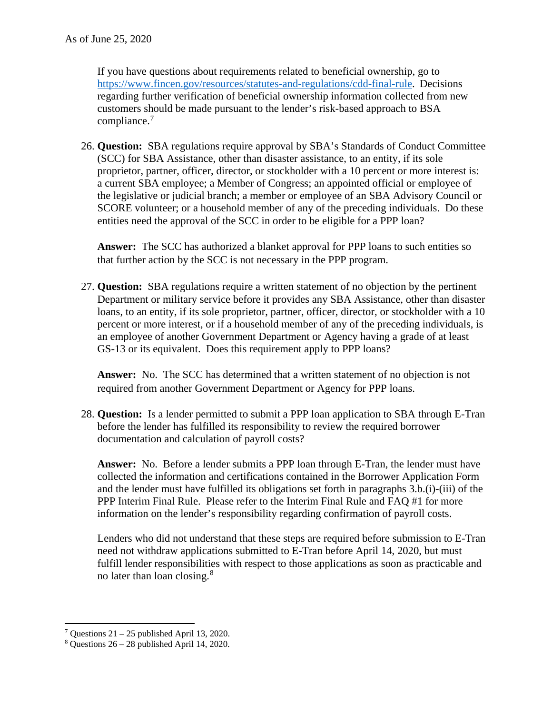If you have questions about requirements related to beneficial ownership, go to customers should be made pursuant to the lender's risk-based approach to BSA compliance.<sup>7</sup> [https://www.fincen.gov/resources/statutes-and-regulations/cdd-final-rule.](https://www.fincen.gov/resources/statutes-and-regulations/cdd-final-rule) Decisions regarding further verification of beneficial ownership information collected from new

 26. **Question:** SBA regulations require approval by SBA's Standards of Conduct Committee (SCC) for SBA Assistance, other than disaster assistance, to an entity, if its sole a current SBA employee; a Member of Congress; an appointed official or employee of proprietor, partner, officer, director, or stockholder with a 10 percent or more interest is: the legislative or judicial branch; a member or employee of an SBA Advisory Council or SCORE volunteer; or a household member of any of the preceding individuals. Do these entities need the approval of the SCC in order to be eligible for a PPP loan?

**Answer:** The SCC has authorized a blanket approval for PPP loans to such entities so that further action by the SCC is not necessary in the PPP program.

 27. **Question:** SBA regulations require a written statement of no objection by the pertinent Department or military service before it provides any SBA Assistance, other than disaster loans, to an entity, if its sole proprietor, partner, officer, director, or stockholder with a 10 percent or more interest, or if a household member of any of the preceding individuals, is an employee of another Government Department or Agency having a grade of at least GS-13 or its equivalent. Does this requirement apply to PPP loans?

 **Answer:** No. The SCC has determined that a written statement of no objection is not required from another Government Department or Agency for PPP loans.

 28. **Question:** Is a lender permitted to submit a PPP loan application to SBA through E-Tran before the lender has fulfilled its responsibility to review the required borrower documentation and calculation of payroll costs?

 PPP Interim Final Rule. Please refer to the Interim Final Rule and FAQ #1 for more **Answer:** No. Before a lender submits a PPP loan through E-Tran, the lender must have collected the information and certifications contained in the Borrower Application Form and the lender must have fulfilled its obligations set forth in paragraphs 3.b.(i)-(iii) of the information on the lender's responsibility regarding confirmation of payroll costs.

Lenders who did not understand that these steps are required before submission to E-Tran need not withdraw applications submitted to E-Tran before April 14, 2020, but must fulfill lender responsibilities with respect to those applications as soon as practicable and no later than loan closing.<sup>8</sup>

 $7$  Questions  $21 - 25$  published April 13, 2020.

 $8$  Questions  $26 - 28$  published April 14, 2020.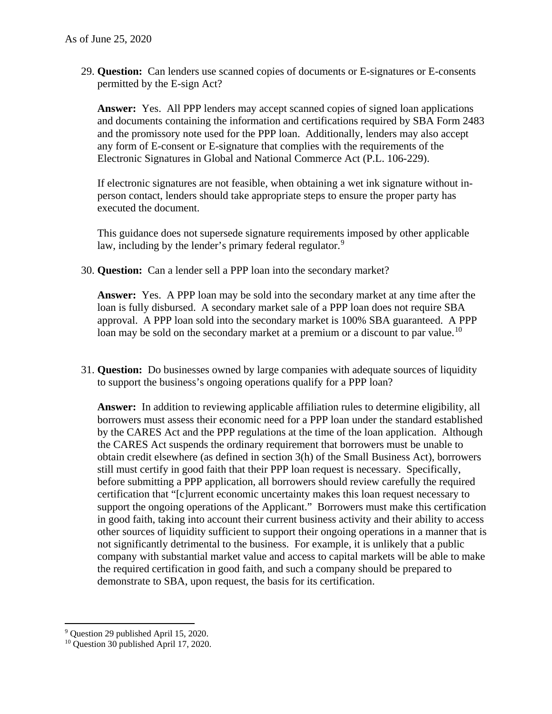29. **Question:** Can lenders use scanned copies of documents or E-signatures or E-consents permitted by the E-sign Act?

**Answer:** Yes. All PPP lenders may accept scanned copies of signed loan applications and documents containing the information and certifications required by SBA Form 2483 and the promissory note used for the PPP loan. Additionally, lenders may also accept any form of E-consent or E-signature that complies with the requirements of the Electronic Signatures in Global and National Commerce Act (P.L. 106-229).

If electronic signatures are not feasible, when obtaining a wet ink signature without inperson contact, lenders should take appropriate steps to ensure the proper party has executed the document.

This guidance does not supersede signature requirements imposed by other applicable law, including by the lender's primary federal regulator.<sup>9</sup>

30. **Question:** Can a lender sell a PPP loan into the secondary market?

**Answer:** Yes. A PPP loan may be sold into the secondary market at any time after the loan is fully disbursed. A secondary market sale of a PPP loan does not require SBA approval. A PPP loan sold into the secondary market is 100% SBA guaranteed. A PPP loan may be sold on the secondary market at a premium or a discount to par value.<sup>10</sup>

31. **Question:** Do businesses owned by large companies with adequate sources of liquidity to support the business's ongoing operations qualify for a PPP loan?

**Answer:** In addition to reviewing applicable affiliation rules to determine eligibility, all borrowers must assess their economic need for a PPP loan under the standard established by the CARES Act and the PPP regulations at the time of the loan application. Although the CARES Act suspends the ordinary requirement that borrowers must be unable to obtain credit elsewhere (as defined in section 3(h) of the Small Business Act), borrowers still must certify in good faith that their PPP loan request is necessary. Specifically, before submitting a PPP application, all borrowers should review carefully the required certification that "[c]urrent economic uncertainty makes this loan request necessary to support the ongoing operations of the Applicant." Borrowers must make this certification in good faith, taking into account their current business activity and their ability to access other sources of liquidity sufficient to support their ongoing operations in a manner that is not significantly detrimental to the business. For example, it is unlikely that a public company with substantial market value and access to capital markets will be able to make the required certification in good faith, and such a company should be prepared to demonstrate to SBA, upon request, the basis for its certification.

<sup>9</sup> Question 29 published April 15, 2020.  $\overline{\phantom{a}}$ 

<sup>10</sup> Question 30 published April 17, 2020.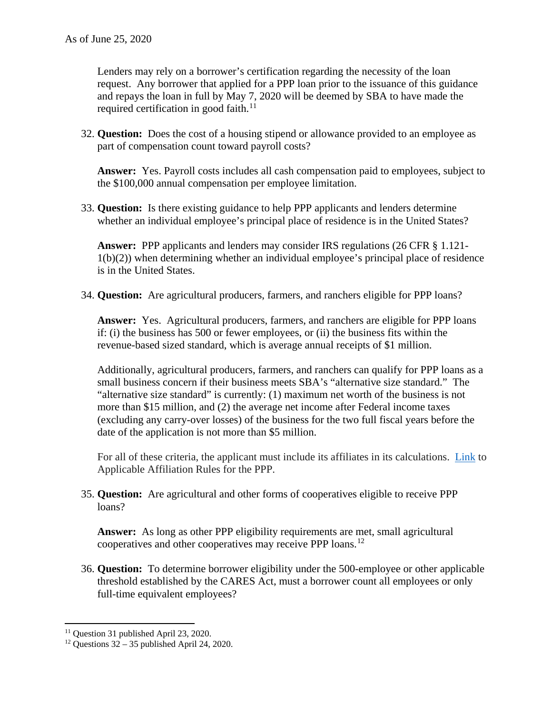Lenders may rely on a borrower's certification regarding the necessity of the loan request. Any borrower that applied for a PPP loan prior to the issuance of this guidance and repays the loan in full by May 7, 2020 will be deemed by SBA to have made the required certification in good faith.<sup>11</sup>

32. **Question:** Does the cost of a housing stipend or allowance provided to an employee as part of compensation count toward payroll costs?

**Answer:** Yes. Payroll costs includes all cash compensation paid to employees, subject to the \$100,000 annual compensation per employee limitation.

33. **Question:** Is there existing guidance to help PPP applicants and lenders determine whether an individual employee's principal place of residence is in the United States?

**Answer:** PPP applicants and lenders may consider IRS regulations (26 CFR § 1.121-  $1(b)(2)$ ) when determining whether an individual employee's principal place of residence is in the United States.

34. **Question:** Are agricultural producers, farmers, and ranchers eligible for PPP loans?

**Answer:** Yes.Agricultural producers, farmers, and ranchers are eligible for PPP loans if: (i) the business has 500 or fewer employees, or (ii) the business fits within the revenue-based sized standard, which is average annual receipts of \$1 million.

Additionally, agricultural producers, farmers, and ranchers can qualify for PPP loans as a small business concern if their business meets SBA's "alternative size standard." The "alternative size standard" is currently: (1) maximum net worth of the business is not more than \$15 million, and (2) the average net income after Federal income taxes (excluding any carry-over losses) of the business for the two full fiscal years before the date of the application is not more than \$5 million.

For all of these criteria, the applicant must include its affiliates in its calculations. [Link](https://www.sba.gov/document/support--affiliation-rules-paycheck-protection-program) to Applicable Affiliation Rules for the PPP.

35. **Question:** Are agricultural and other forms of cooperatives eligible to receive PPP loans?

**Answer:** As long as other PPP eligibility requirements are met, small agricultural cooperatives and other cooperatives may receive PPP loans.<sup>12</sup>

36. **Question:** To determine borrower eligibility under the 500-employee or other applicable threshold established by the CARES Act, must a borrower count all employees or only full-time equivalent employees?

<sup>&</sup>lt;sup>11</sup> Question 31 published April 23, 2020.

<sup>&</sup>lt;sup>12</sup> Questions  $32 - 35$  published April 24, 2020.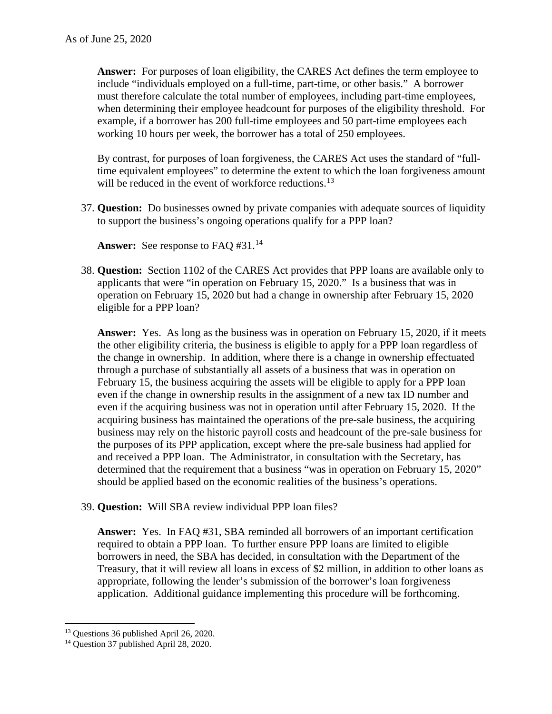**Answer:** For purposes of loan eligibility, the CARES Act defines the term employee to include "individuals employed on a full-time, part-time, or other basis." A borrower must therefore calculate the total number of employees, including part-time employees, when determining their employee headcount for purposes of the eligibility threshold. For example, if a borrower has 200 full-time employees and 50 part-time employees each working 10 hours per week, the borrower has a total of 250 employees.

By contrast, for purposes of loan forgiveness, the CARES Act uses the standard of "fulltime equivalent employees" to determine the extent to which the loan forgiveness amount will be reduced in the event of workforce reductions.<sup>13</sup>

37. **Question:** Do businesses owned by private companies with adequate sources of liquidity to support the business's ongoing operations qualify for a PPP loan?

Answer: See response to FAO #31.<sup>14</sup>

38. **Question:** Section 1102 of the CARES Act provides that PPP loans are available only to applicants that were "in operation on February 15, 2020." Is a business that was in operation on February 15, 2020 but had a change in ownership after February 15, 2020 eligible for a PPP loan?

**Answer:** Yes. As long as the business was in operation on February 15, 2020, if it meets the other eligibility criteria, the business is eligible to apply for a PPP loan regardless of the change in ownership. In addition, where there is a change in ownership effectuated through a purchase of substantially all assets of a business that was in operation on February 15, the business acquiring the assets will be eligible to apply for a PPP loan even if the change in ownership results in the assignment of a new tax ID number and even if the acquiring business was not in operation until after February 15, 2020. If the acquiring business has maintained the operations of the pre-sale business, the acquiring business may rely on the historic payroll costs and headcount of the pre-sale business for the purposes of its PPP application, except where the pre-sale business had applied for and received a PPP loan. The Administrator, in consultation with the Secretary, has determined that the requirement that a business "was in operation on February 15, 2020" should be applied based on the economic realities of the business's operations.

39. **Question:** Will SBA review individual PPP loan files?

**Answer:** Yes. In FAQ #31, SBA reminded all borrowers of an important certification required to obtain a PPP loan. To further ensure PPP loans are limited to eligible borrowers in need, the SBA has decided, in consultation with the Department of the Treasury, that it will review all loans in excess of \$2 million, in addition to other loans as appropriate, following the lender's submission of the borrower's loan forgiveness application. Additional guidance implementing this procedure will be forthcoming.

<sup>13</sup> Questions 36 published April 26, 2020.

<sup>14</sup> Question 37 published April 28, 2020.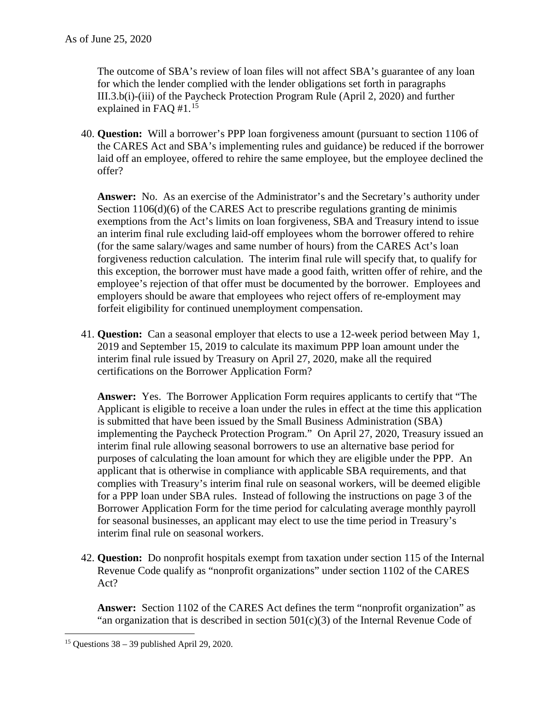The outcome of SBA's review of loan files will not affect SBA's guarantee of any loan for which the lender complied with the lender obligations set forth in paragraphs III.3.b(i)-(iii) of the Paycheck Protection Program Rule (April 2, 2020) and further explained in FAQ #1.<sup>15</sup>

40. **Question:** Will a borrower's PPP loan forgiveness amount (pursuant to section 1106 of the CARES Act and SBA's implementing rules and guidance) be reduced if the borrower laid off an employee, offered to rehire the same employee, but the employee declined the offer?

**Answer:** No. As an exercise of the Administrator's and the Secretary's authority under Section 1106(d)(6) of the CARES Act to prescribe regulations granting de minimis exemptions from the Act's limits on loan forgiveness, SBA and Treasury intend to issue an interim final rule excluding laid-off employees whom the borrower offered to rehire (for the same salary/wages and same number of hours) from the CARES Act's loan forgiveness reduction calculation. The interim final rule will specify that, to qualify for this exception, the borrower must have made a good faith, written offer of rehire, and the employee's rejection of that offer must be documented by the borrower. Employees and employers should be aware that employees who reject offers of re-employment may forfeit eligibility for continued unemployment compensation.

41. **Question:** Can a seasonal employer that elects to use a 12-week period between May 1, 2019 and September 15, 2019 to calculate its maximum PPP loan amount under the interim final rule issued by Treasury on April 27, 2020, make all the required certifications on the Borrower Application Form?

**Answer:** Yes. The Borrower Application Form requires applicants to certify that "The Applicant is eligible to receive a loan under the rules in effect at the time this application is submitted that have been issued by the Small Business Administration (SBA) implementing the Paycheck Protection Program." On April 27, 2020, Treasury issued an interim final rule allowing seasonal borrowers to use an alternative base period for purposes of calculating the loan amount for which they are eligible under the PPP. An applicant that is otherwise in compliance with applicable SBA requirements, and that complies with Treasury's interim final rule on seasonal workers, will be deemed eligible for a PPP loan under SBA rules. Instead of following the instructions on page 3 of the Borrower Application Form for the time period for calculating average monthly payroll for seasonal businesses, an applicant may elect to use the time period in Treasury's interim final rule on seasonal workers.

42. **Question:** Do nonprofit hospitals exempt from taxation under section 115 of the Internal Revenue Code qualify as "nonprofit organizations" under section 1102 of the CARES Act?

**Answer:** Section 1102 of the CARES Act defines the term "nonprofit organization" as "an organization that is described in section  $501(c)(3)$  of the Internal Revenue Code of

<sup>&</sup>lt;sup>15</sup> Questions  $38 - 39$  published April 29, 2020. l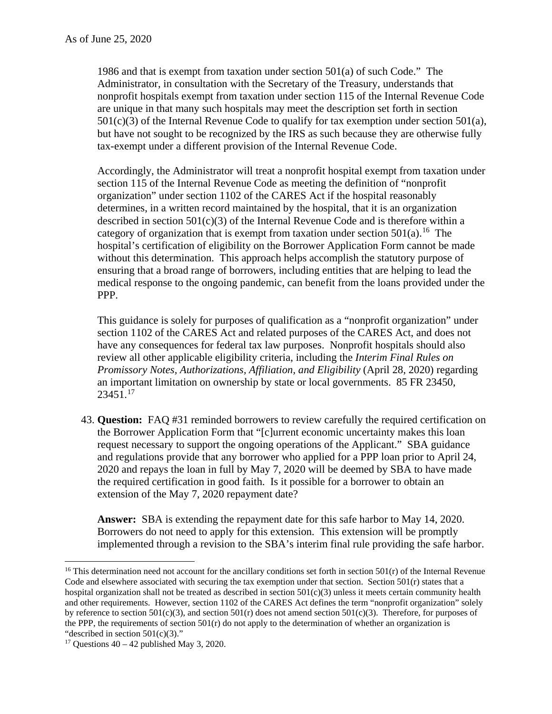1986 and that is exempt from taxation under section 501(a) of such Code." The Administrator, in consultation with the Secretary of the Treasury, understands that nonprofit hospitals exempt from taxation under section 115 of the Internal Revenue Code are unique in that many such hospitals may meet the description set forth in section  $501(c)(3)$  of the Internal Revenue Code to qualify for tax exemption under section  $501(a)$ , but have not sought to be recognized by the IRS as such because they are otherwise fully tax-exempt under a different provision of the Internal Revenue Code.

Accordingly, the Administrator will treat a nonprofit hospital exempt from taxation under section 115 of the Internal Revenue Code as meeting the definition of "nonprofit organization" under section 1102 of the CARES Act if the hospital reasonably determines, in a written record maintained by the hospital, that it is an organization described in section  $501(c)(3)$  of the Internal Revenue Code and is therefore within a category of organization that is exempt from taxation under section  $501(a)$ .<sup>16</sup> The hospital's certification of eligibility on the Borrower Application Form cannot be made without this determination. This approach helps accomplish the statutory purpose of ensuring that a broad range of borrowers, including entities that are helping to lead the medical response to the ongoing pandemic, can benefit from the loans provided under the PPP.

This guidance is solely for purposes of qualification as a "nonprofit organization" under section 1102 of the CARES Act and related purposes of the CARES Act, and does not have any consequences for federal tax law purposes. Nonprofit hospitals should also review all other applicable eligibility criteria, including the *Interim Final Rules on Promissory Notes, Authorizations, Affiliation, and Eligibility* (April 28, 2020) regarding an important limitation on ownership by state or local governments. 85 FR 23450,  $23451.<sup>17</sup>$ 

43. **Question:** FAQ #31 reminded borrowers to review carefully the required certification on the Borrower Application Form that "[c]urrent economic uncertainty makes this loan request necessary to support the ongoing operations of the Applicant." SBA guidance and regulations provide that any borrower who applied for a PPP loan prior to April 24, 2020 and repays the loan in full by May 7, 2020 will be deemed by SBA to have made the required certification in good faith. Is it possible for a borrower to obtain an extension of the May 7, 2020 repayment date?

**Answer:** SBA is extending the repayment date for this safe harbor to May 14, 2020. Borrowers do not need to apply for this extension. This extension will be promptly implemented through a revision to the SBA's interim final rule providing the safe harbor.

<sup>&</sup>lt;sup>16</sup> This determination need not account for the ancillary conditions set forth in section  $501(r)$  of the Internal Revenue Code and elsewhere associated with securing the tax exemption under that section. Section  $501(r)$  states that a hospital organization shall not be treated as described in section 501(c)(3) unless it meets certain community health and other requirements. However, section 1102 of the CARES Act defines the term "nonprofit organization" solely by reference to section  $501(c)(3)$ , and section  $501(r)$  does not amend section  $501(c)(3)$ . Therefore, for purposes of the PPP, the requirements of section  $501(r)$  do not apply to the determination of whether an organization is "described in section 501(c)(3)."

<sup>&</sup>lt;sup>17</sup> Questions  $40 - 42$  published May 3, 2020.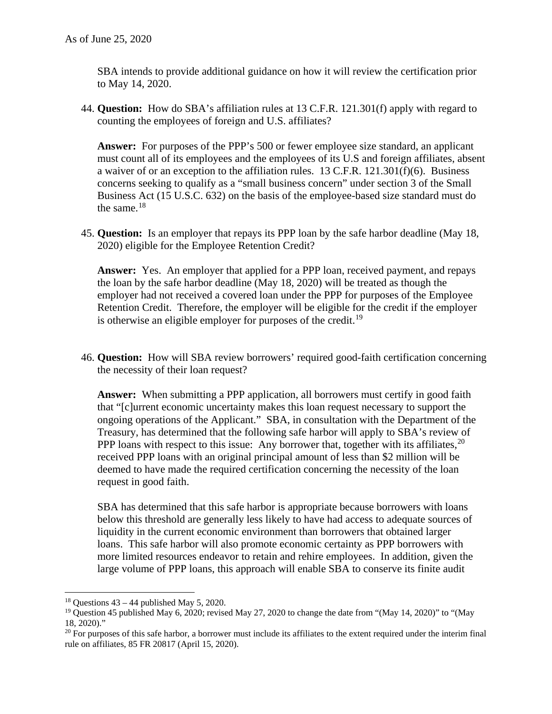SBA intends to provide additional guidance on how it will review the certification prior to May 14, 2020.

44. **Question:** How do SBA's affiliation rules at 13 C.F.R. 121.301(f) apply with regard to counting the employees of foreign and U.S. affiliates?

**Answer:** For purposes of the PPP's 500 or fewer employee size standard, an applicant must count all of its employees and the employees of its U.S and foreign affiliates, absent a waiver of or an exception to the affiliation rules. 13 C.F.R. 121.301(f)(6). Business concerns seeking to qualify as a "small business concern" under section 3 of the Small Business Act (15 U.S.C. 632) on the basis of the employee-based size standard must do the same. $18$ 

45. **Question:** Is an employer that repays its PPP loan by the safe harbor deadline (May 18, 2020) eligible for the Employee Retention Credit?

**Answer:** Yes. An employer that applied for a PPP loan, received payment, and repays the loan by the safe harbor deadline (May 18, 2020) will be treated as though the employer had not received a covered loan under the PPP for purposes of the Employee Retention Credit. Therefore, the employer will be eligible for the credit if the employer is otherwise an eligible employer for purposes of the credit.<sup>19</sup>

46. **Question:** How will SBA review borrowers' required good-faith certification concerning the necessity of their loan request?

**Answer:** When submitting a PPP application, all borrowers must certify in good faith that "[c]urrent economic uncertainty makes this loan request necessary to support the ongoing operations of the Applicant." SBA, in consultation with the Department of the Treasury, has determined that the following safe harbor will apply to SBA's review of PPP loans with respect to this issue: Any borrower that, together with its affiliates,  $20$ received PPP loans with an original principal amount of less than \$2 million will be deemed to have made the required certification concerning the necessity of the loan request in good faith.

SBA has determined that this safe harbor is appropriate because borrowers with loans below this threshold are generally less likely to have had access to adequate sources of liquidity in the current economic environment than borrowers that obtained larger loans. This safe harbor will also promote economic certainty as PPP borrowers with more limited resources endeavor to retain and rehire employees. In addition, given the large volume of PPP loans, this approach will enable SBA to conserve its finite audit

<sup>&</sup>lt;sup>18</sup> Questions  $43 - 44$  published May 5, 2020.

<sup>&</sup>lt;sup>19</sup> Question 45 published May 6, 2020; revised May 27, 2020 to change the date from "(May 14, 2020)" to "(May 18, 2020)."

 $20$  For purposes of this safe harbor, a borrower must include its affiliates to the extent required under the interim final rule on affiliates, 85 FR 20817 (April 15, 2020).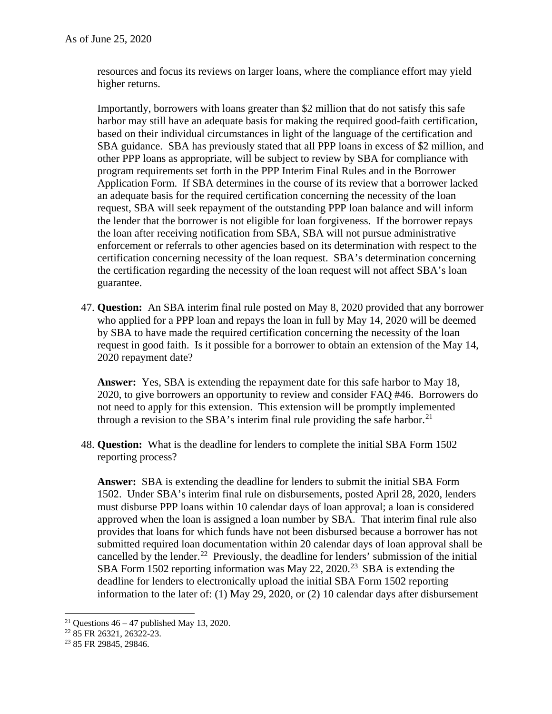resources and focus its reviews on larger loans, where the compliance effort may yield higher returns.

 Importantly, borrowers with loans greater than \$2 million that do not satisfy this safe Application Form. If SBA determines in the course of its review that a borrower lacked certification concerning necessity of the loan request. SBA's determination concerning harbor may still have an adequate basis for making the required good-faith certification, based on their individual circumstances in light of the language of the certification and SBA guidance. SBA has previously stated that all PPP loans in excess of \$2 million, and other PPP loans as appropriate, will be subject to review by SBA for compliance with program requirements set forth in the PPP Interim Final Rules and in the Borrower an adequate basis for the required certification concerning the necessity of the loan request, SBA will seek repayment of the outstanding PPP loan balance and will inform the lender that the borrower is not eligible for loan forgiveness. If the borrower repays the loan after receiving notification from SBA, SBA will not pursue administrative enforcement or referrals to other agencies based on its determination with respect to the the certification regarding the necessity of the loan request will not affect SBA's loan guarantee.

 47. **Question:** An SBA interim final rule posted on May 8, 2020 provided that any borrower who applied for a PPP loan and repays the loan in full by May 14, 2020 will be deemed by SBA to have made the required certification concerning the necessity of the loan request in good faith. Is it possible for a borrower to obtain an extension of the May 14, 2020 repayment date?

 **Answer:** Yes, SBA is extending the repayment date for this safe harbor to May 18, 2020, to give borrowers an opportunity to review and consider FAQ #46. Borrowers do not need to apply for this extension. This extension will be promptly implemented through a revision to the SBA's interim final rule providing the safe harbor.<sup>21</sup>

 48. **Question:** What is the deadline for lenders to complete the initial SBA Form 1502 reporting process?

 **Answer:** SBA is extending the deadline for lenders to submit the initial SBA Form cancelled by the lender.<sup>22</sup> Previously, the deadline for lenders' submission of the initial 1502. Under SBA's interim final rule on disbursements, posted April 28, 2020, lenders must disburse PPP loans within 10 calendar days of loan approval; a loan is considered approved when the loan is assigned a loan number by SBA. That interim final rule also provides that loans for which funds have not been disbursed because a borrower has not submitted required loan documentation within 20 calendar days of loan approval shall be SBA Form 1502 reporting information was May 22, 2020.<sup>23</sup> SBA is extending the deadline for lenders to electronically upload the initial SBA Form 1502 reporting information to the later of: (1) May 29, 2020, or (2) 10 calendar days after disbursement

 $\overline{a}$ 

<sup>&</sup>lt;sup>21</sup> Questions  $46 - 47$  published May 13, 2020.

 $\frac{22}{23}$  85 FR 26321, 26322-23.<br>
<sup>23</sup> 85 FR 29845, 29846.